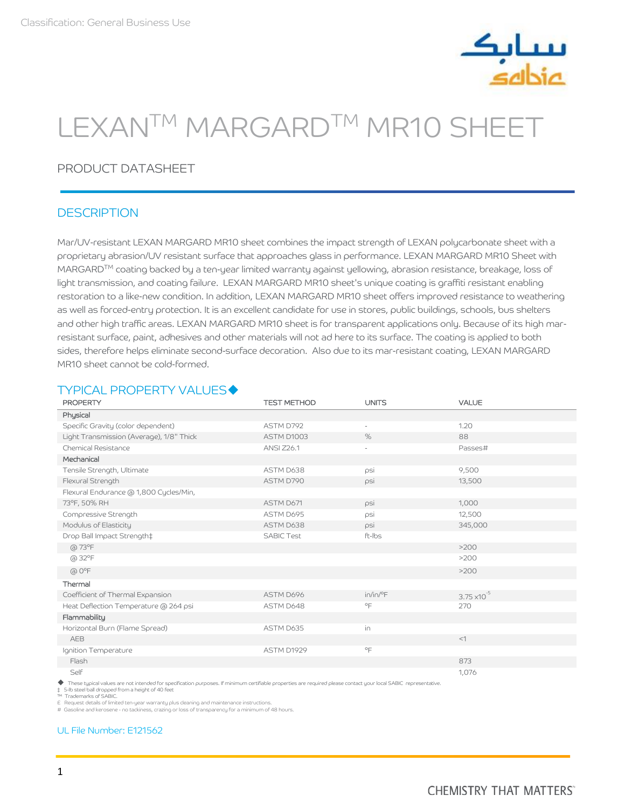

# LEXANTM MARGARDTM MR10 SHEET

# PRODUCT DATASHEET

## **DESCRIPTION**

Mar/UV-resistant LEXAN MARGARD MR10 sheet combines the impact strength of LEXAN polycarbonate sheet with a proprietary abrasion/UV resistant surface that approaches glass in performance. LEXAN MARGARD MR10 Sheet with MARGARD<sup>TM</sup> coating backed by a ten-year limited warranty against yellowing, abrasion resistance, breakage, loss of light transmission, and coating failure. LEXAN MARGARD MR10 sheet's unique coating is graffiti resistant enabling restoration to a like-new condition. In addition, LEXAN MARGARD MR10 sheet offers improved resistance to weathering as well as forced-entry protection. It is an excellent candidate for use in stores, public buildings, schools, bus shelters and other high traffic areas. LEXAN MARGARD MR10 sheet is for transparent applications only. Because of its high marresistant surface, paint, adhesives and other materials will not ad here to its surface. The coating is applied to both sides, therefore helps eliminate second-surface decoration. Also due to its mar-resistant coating, LEXAN MARGARD MR10 sheet cannot be cold-formed.

## **TYPICAL PROPERTY VALUES◆**

| <b>PROPERTY</b>                                                                                                                                                   | <b>TEST METHOD</b> | <b>UNITS</b>             | <b>VALUE</b>          |
|-------------------------------------------------------------------------------------------------------------------------------------------------------------------|--------------------|--------------------------|-----------------------|
| Physical                                                                                                                                                          |                    |                          |                       |
| Specific Gravity (color dependent)                                                                                                                                | ASTM D792          | ä,                       | 1.20                  |
| Light Transmission (Average), 1/8" Thick                                                                                                                          | ASTM D1003         | %                        | 88                    |
| Chemical Resistance                                                                                                                                               | <b>ANSI Z26.1</b>  | $\overline{\phantom{a}}$ | Passes#               |
| Mechanical                                                                                                                                                        |                    |                          |                       |
| Tensile Strength, Ultimate                                                                                                                                        | ASTM D638          | psi                      | 9,500                 |
| Flexural Strength                                                                                                                                                 | ASTM D790          | psi                      | 13,500                |
| Flexural Endurance @ 1,800 Cycles/Min,                                                                                                                            |                    |                          |                       |
| 73°F, 50% RH                                                                                                                                                      | ASTM D671          | psi                      | 1,000                 |
| Compressive Strength                                                                                                                                              | ASTM D695          | psi                      | 12,500                |
| Modulus of Elasticity                                                                                                                                             | ASTM D638          | psi                      | 345,000               |
| Drop Ball Impact Strength‡                                                                                                                                        | <b>SABIC Test</b>  | ft-Ibs                   |                       |
| $(a) 73^{\circ}F$                                                                                                                                                 |                    |                          | >200                  |
| $(a) 32$ °F                                                                                                                                                       |                    |                          | >200                  |
| $@$ $O^{\circ}F$                                                                                                                                                  |                    |                          | >200                  |
| Thermal                                                                                                                                                           |                    |                          |                       |
| Coefficient of Thermal Expansion                                                                                                                                  | ASTM D696          | $in/in/{}^{\circ}F$      | $3.75 \times 10^{-5}$ |
| Heat Deflection Temperature @ 264 psi                                                                                                                             | ASTM D648          | $\circ$ F                | 270                   |
| Flammability                                                                                                                                                      |                    |                          |                       |
| Horizontal Burn (Flame Spread)                                                                                                                                    | ASTM D635          | in                       |                       |
| AEB                                                                                                                                                               |                    |                          | <1                    |
| Ignition Temperature                                                                                                                                              | ASTM D1929         | $^{\circ}$ F             |                       |
| Flash                                                                                                                                                             |                    |                          | 873                   |
| Self                                                                                                                                                              |                    |                          | 1,076                 |
| These tupical values are not intended for specification ourposes. If minimum certifiable properties are required please contact upur local SABIC, representative. |                    |                          |                       |

◆ These typical values are not intended for specification purposes. If minimum certifiable properties are required please contact your local SABIC representative.<br>‡ 5-lb steel ball dropped from a height of 40 feet

Trademarks of SABIC.

£ Request details of limited ten-year warranty plus cleaning and maintenance instructions. # Gasoline and kerosene - no tackiness, crazing or loss of transparency for a minimum of 48 hours.

## [UL File Number: E121562](https://iq.ulprospector.com/en/profile?e=597132)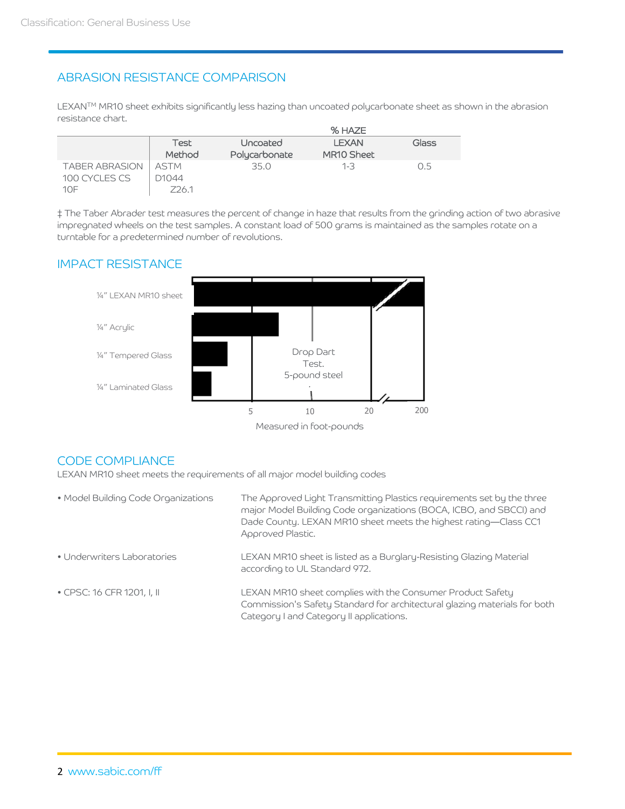# ABRASION RESISTANCE COMPARISON

LEXAN™ MR10 sheet exhibits significantly less hazing than uncoated polycarbonate sheet as shown in the abrasion resistance chart.

|                       |             |               | % HAZE       |       |
|-----------------------|-------------|---------------|--------------|-------|
|                       | Test        | Uncoated      | <b>LEXAN</b> | Glass |
|                       | Method      | Polycarbonate | MR10 Sheet   |       |
| <b>TABER ABRASION</b> | <b>ASTM</b> | 35.0          | $1 - 3$      | 0.5   |
| 100 CYCLES CS         | D1044       |               |              |       |
| 10F                   | Z26.1       |               |              |       |

‡ The Taber Abrader test measures the percent of change in haze that results from the grinding action of two abrasive impregnated wheels on the test samples. A constant load of 500 grams is maintained as the samples rotate on a turntable for a predetermined number of revolutions.

## IMPACT RESISTANCE



## CODE COMPLIANCE

LEXAN MR10 sheet meets the requirements of all major model building codes

| • Model Building Code Organizations | The Approved Light Transmitting Plastics requirements set by the three<br>major Model Building Code organizations (BOCA, ICBO, and SBCCI) and<br>Dade County. LEXAN MR10 sheet meets the highest rating-Class CC1<br>Approved Plastic. |
|-------------------------------------|----------------------------------------------------------------------------------------------------------------------------------------------------------------------------------------------------------------------------------------|
| • Underwriters Laboratories         | LEXAN MR10 sheet is listed as a Burglary-Resisting Glazing Material<br>according to UL Standard 972.                                                                                                                                   |
| • CPSC: 16 CFR 1201, I, II          | LEXAN MR10 sheet complies with the Consumer Product Safety<br>Commission's Safety Standard for architectural glazing materials for both<br>Category I and Category II applications.                                                    |